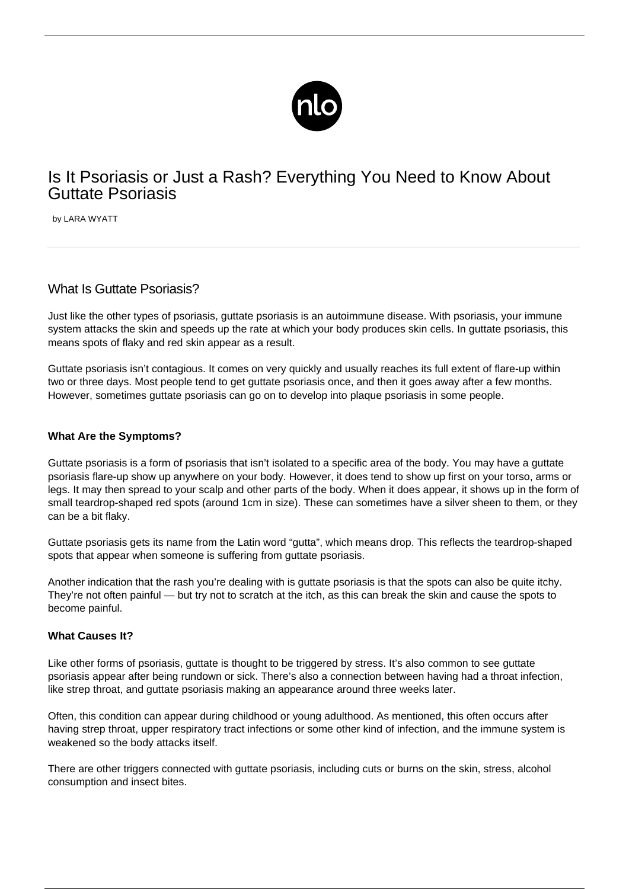

# Is It Psoriasis or Just a Rash? Everything You Need to Know About Guttate Psoriasis

by LARA WYATT

# What Is Guttate Psoriasis?

Just like the other types of psoriasis, guttate psoriasis is an autoimmune disease. With psoriasis, your immune system attacks the skin and speeds up the rate at which your body produces skin cells. In guttate psoriasis, this means spots of flaky and red skin appear as a result.

Guttate psoriasis isn't contagious. It comes on very quickly and usually reaches its full extent of flare-up within two or three days. Most people tend to get guttate psoriasis once, and then it goes away after a few months. However, sometimes guttate psoriasis can go on to develop into plaque psoriasis in some people.

#### **What Are the Symptoms?**

Guttate psoriasis is a form of psoriasis that isn't isolated to a specific area of the body. You may have a guttate psoriasis flare-up show up anywhere on your body. However, it does tend to show up first on your torso, arms or legs. It may then spread to your scalp and other parts of the body. When it does appear, it shows up in the form of small teardrop-shaped red spots (around 1cm in size). These can sometimes have a silver sheen to them, or they can be a bit flaky.

Guttate psoriasis gets its name from the Latin word "gutta", which means drop. This reflects the teardrop-shaped spots that appear when someone is suffering from guttate psoriasis.

Another indication that the rash you're dealing with is guttate psoriasis is that the spots can also be quite itchy. They're not often painful — but try not to scratch at the itch, as this can break the skin and cause the spots to become painful.

#### **What Causes It?**

Like other forms of psoriasis, guttate is thought to be [triggered by stress.](/link-psoriasis-stress/) It's also common to see guttate psoriasis appear after being rundown or sick. There's also a connection between having had a throat infection, like strep throat, and guttate psoriasis making an appearance around three weeks later.

Often, this condition can appear during childhood or young adulthood. As mentioned, this often occurs after having strep throat, upper respiratory tract infections or some other kind of infection, and the immune system is weakened so the body attacks itself.

There are other triggers connected with guttate psoriasis, including cuts or burns on the skin, stress, alcohol consumption and insect bites.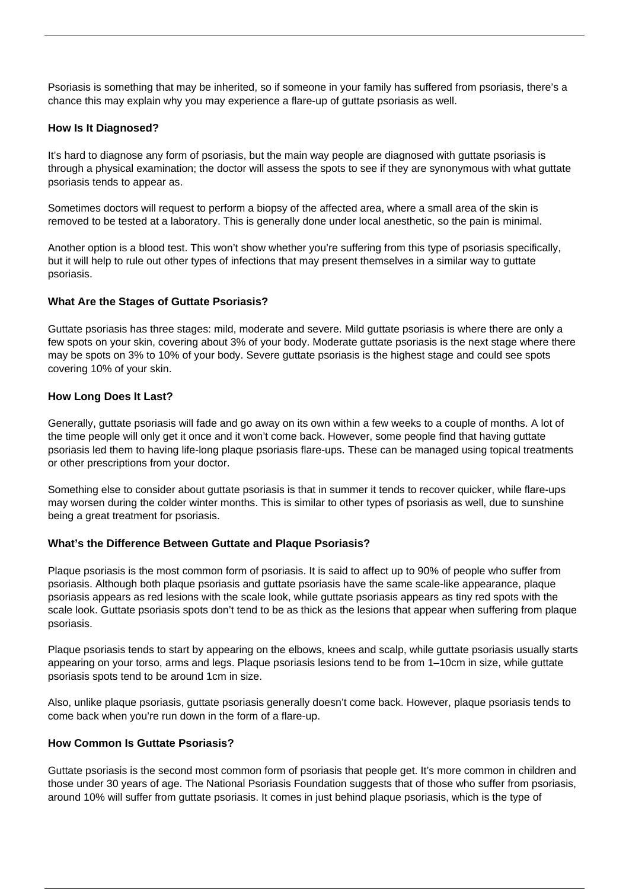Psoriasis is something that may be inherited, so if someone in your family has suffered from psoriasis, there's a chance this may explain why you may experience a flare-up of guttate psoriasis as well.

### **How Is It Diagnosed?**

It's hard to diagnose any form of psoriasis, but the main way people are diagnosed with guttate psoriasis is through a physical examination; the doctor will assess the spots to see if they are synonymous with what guttate psoriasis tends to appear as.

Sometimes doctors will request to perform a biopsy of the affected area, where a small area of the skin is removed to be tested at a laboratory. This is generally done under local anesthetic, so the pain is minimal.

Another option is a blood test. This won't show whether you're suffering from this type of psoriasis specifically, but it will help to rule out other types of infections that may present themselves in a similar way to guttate psoriasis.

# **What Are the Stages of Guttate Psoriasis?**

Guttate psoriasis has three stages: [mild, moderate and severe](https://www.webmd.com/skin-problems-and-treatments/psoriasis/guttate-psoriasis#1). Mild guttate psoriasis is where there are only a few spots on your skin, covering about 3% of your body. Moderate guttate psoriasis is the next stage where there may be spots on 3% to 10% of your body. Severe guttate psoriasis is the highest stage and could see spots covering 10% of your skin.

# **How Long Does It Last?**

Generally, guttate psoriasis will fade and go away on its own within a few weeks to a couple of months. A lot of the time people will only get it once and it won't come back. However, some people find that having guttate psoriasis led them to having life-long plaque psoriasis flare-ups. These can be managed using topical treatments or other prescriptions from your doctor.

Something else to consider about guttate psoriasis is that in summer it tends to recover quicker, while flare-ups may worsen during the colder winter months. This is similar to other types of psoriasis as well, due to sunshine being a great treatment for psoriasis.

#### **What's the Difference Between Guttate and Plaque Psoriasis?**

Plaque psoriasis is the most common form of psoriasis. It is said to affect [up to 90%](https://www.medicalnewstoday.com/articles/323225.php) of people who suffer from psoriasis. Although both plaque psoriasis and guttate psoriasis have the same scale-like appearance, plaque psoriasis appears as red lesions with the scale look, while guttate psoriasis appears as tiny red spots with the scale look. Guttate psoriasis spots don't tend to be as thick as the lesions that appear when suffering from plaque psoriasis.

Plaque psoriasis tends to start by appearing on the elbows, knees and scalp, while guttate psoriasis usually starts appearing on your torso, arms and legs. Plaque psoriasis lesions tend to be from 1–10cm in size, while guttate psoriasis spots tend to be around 1cm in size.

Also, unlike plaque psoriasis, guttate psoriasis generally doesn't come back. However, plaque psoriasis tends to come back when you're run down in the form of a flare-up.

#### **How Common Is Guttate Psoriasis?**

Guttate psoriasis is the second most common form of psoriasis that people get. It's more common in children and those under 30 years of age. [The National Psoriasis Foundation suggests](https://www.psoriasis.org/about-psoriasis) that of those who suffer from psoriasis, around 10% will suffer from guttate psoriasis. It comes in just behind plaque psoriasis, which is the type of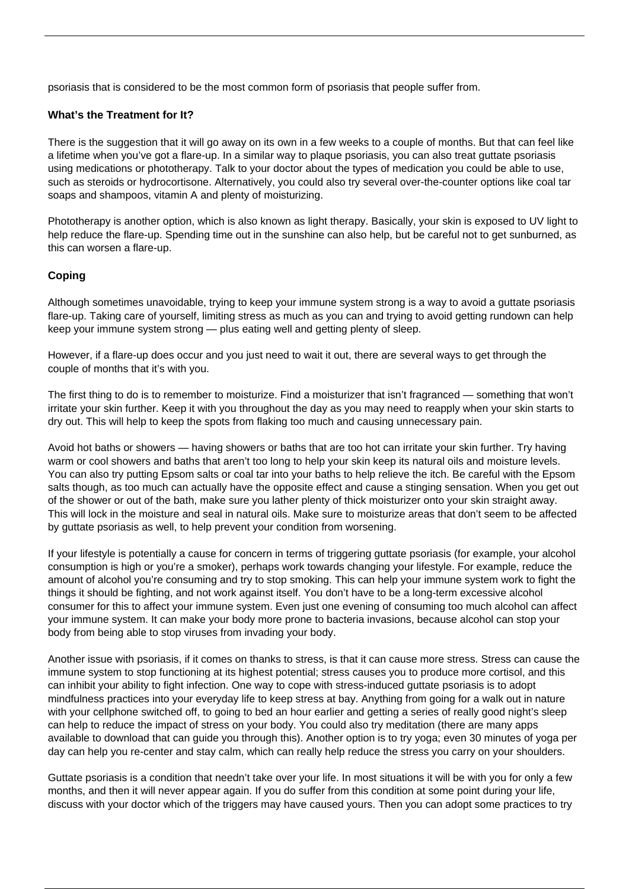psoriasis that is considered to be the most common form of psoriasis that people suffer from.

# **What's the Treatment for It?**

There is the suggestion that it will go away on its own in a few weeks to a couple of months. But that can feel like a lifetime when you've got a flare-up. In a similar way to plaque psoriasis, you can also treat guttate psoriasis using medications or phototherapy. Talk to your doctor about the types of medication you could be able to use, such as steroids or hydrocortisone. Alternatively, you could also try several over-the-counter options like coal tar soaps and shampoos, vitamin A and plenty of moisturizing.

Phototherapy is another option, which is also known as light therapy. Basically, your skin is exposed to UV light to help reduce the flare-up. Spending time out in the sunshine can also help, but be careful not to get sunburned, as this can worsen a flare-up.

# **Coping**

Although sometimes unavoidable, trying to keep your immune system strong is a way to avoid a guttate psoriasis flare-up. Taking care of yourself, limiting stress as much as you can and trying to avoid getting rundown can help keep your immune system strong — plus eating well and getting plenty of sleep.

However, if a flare-up does occur and you just need to wait it out, there are several ways to get through the couple of months that it's with you.

The first thing to do is to remember to moisturize. Find a moisturizer that isn't fragranced — something that won't irritate your skin further. Keep it with you throughout the day as you may need to reapply when your skin starts to dry out. This will help to keep the spots from flaking too much and causing unnecessary pain.

Avoid hot baths or showers — having showers or baths that are too hot can irritate your skin further. Try having warm or cool showers and baths that aren't too long to help your skin keep its natural oils and moisture levels. You can also try putting Epsom salts or coal tar into your baths to help relieve the itch. Be careful with the Epsom salts though, as too much can actually have the opposite effect and cause a stinging sensation. When you get out of the shower or out of the bath, make sure you lather plenty of thick moisturizer onto your skin straight away. This will lock in the moisture and seal in natural oils. Make sure to moisturize areas that don't seem to be affected by guttate psoriasis as well, to help prevent your condition from worsening.

If your lifestyle is potentially a cause for concern in terms of triggering guttate psoriasis (for example, your alcohol consumption is high or you're a smoker), perhaps work towards changing your lifestyle. For example, reduce the amount of alcohol you're consuming and try to stop smoking. This can help your immune system work to fight the things it should be fighting, and not work against itself. You don't have to be a long-term excessive alcohol consumer for this to affect your immune system. Even just one evening of consuming too much alcohol can affect your immune system. It can make your body more prone to bacteria invasions, because alcohol can stop your body from being able to stop viruses from invading your body.

Another issue with psoriasis, if it comes on thanks to stress, is that it can cause more stress. Stress can cause the immune system to stop functioning at its highest potential; stress causes you to produce more cortisol, and this can inhibit your ability to fight infection. One way to cope with stress-induced guttate psoriasis is to adopt mindfulness practices into your everyday life to keep stress at bay. Anything from going for a walk out in nature with your cellphone switched off, to going to bed an hour earlier and getting a series of really good night's sleep can help to reduce the impact of stress on your body. You could also try meditation (there are many apps available to download that can guide you through this). Another option is to try yoga; even 30 minutes of yoga per day can help you re-center and stay calm, which can really help reduce the stress you carry on your shoulders.

Guttate psoriasis is a condition that needn't take over your life. In most situations it will be with you for only a few months, and then it will never appear again. If you do suffer from this condition at some point during your life, discuss with your doctor which of the triggers may have caused yours. Then you can adopt some practices to try